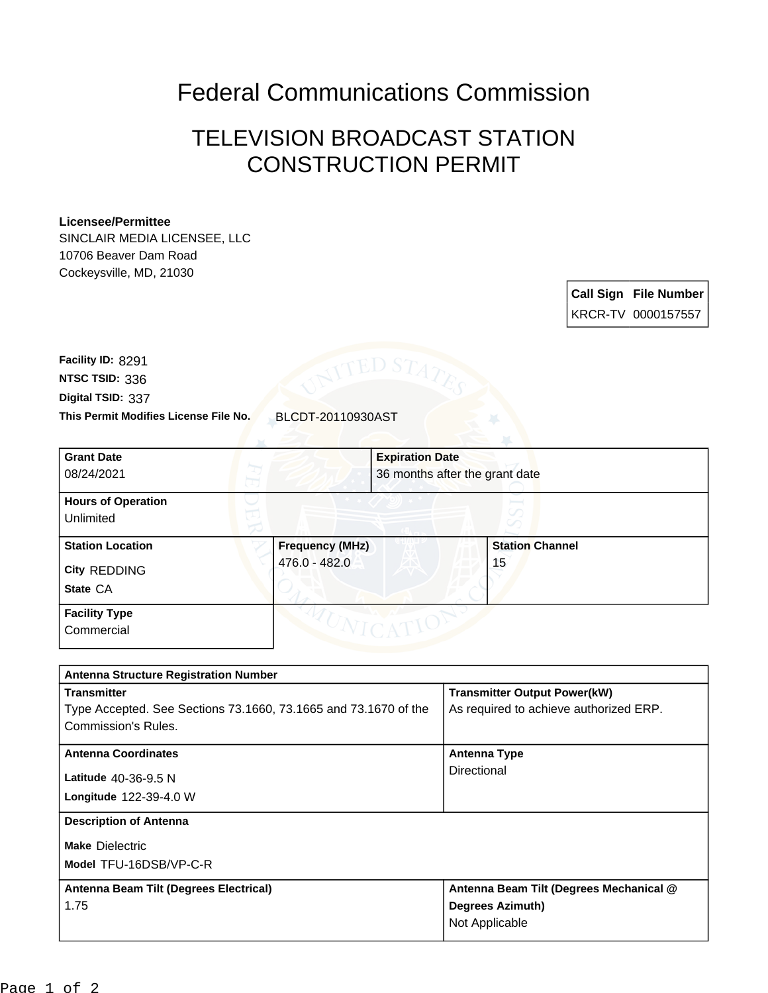## Federal Communications Commission

## TELEVISION BROADCAST STATION CONSTRUCTION PERMIT

## **Licensee/Permittee**

SINCLAIR MEDIA LICENSEE, LLC 10706 Beaver Dam Road Cockeysville, MD, 21030

> **Call Sign File Number** KRCR-TV 0000157557

**This Permit Modifies License File No.** BLCDT-20110930AST **Digital TSID:** 337 **NTSC TSID:** 336 **Facility ID:** 8291

| <b>Grant Date</b><br>08/24/2021                            | <b>Expiration Date</b>                  | 36 months after the grant date |
|------------------------------------------------------------|-----------------------------------------|--------------------------------|
| <b>Hours of Operation</b><br>Unlimited                     |                                         |                                |
| <b>Station Location</b><br><b>City REDDING</b><br>State CA | <b>Frequency (MHz)</b><br>476.0 - 482.0 | <b>Station Channel</b><br>15   |
| <b>Facility Type</b><br>Commercial                         |                                         |                                |

| <b>Antenna Structure Registration Number</b>                    |                                         |  |  |
|-----------------------------------------------------------------|-----------------------------------------|--|--|
| <b>Transmitter</b>                                              | <b>Transmitter Output Power(kW)</b>     |  |  |
| Type Accepted. See Sections 73.1660, 73.1665 and 73.1670 of the | As required to achieve authorized ERP.  |  |  |
| Commission's Rules.                                             |                                         |  |  |
| <b>Antenna Coordinates</b>                                      | Antenna Type                            |  |  |
| Latitude 40-36-9.5 N                                            | Directional                             |  |  |
| <b>Longitude 122-39-4.0 W</b>                                   |                                         |  |  |
| <b>Description of Antenna</b>                                   |                                         |  |  |
| <b>Make Dielectric</b>                                          |                                         |  |  |
| Model TFU-16DSB/VP-C-R                                          |                                         |  |  |
| Antenna Beam Tilt (Degrees Electrical)                          | Antenna Beam Tilt (Degrees Mechanical @ |  |  |
| 1.75                                                            | <b>Degrees Azimuth)</b>                 |  |  |
|                                                                 | Not Applicable                          |  |  |
|                                                                 |                                         |  |  |